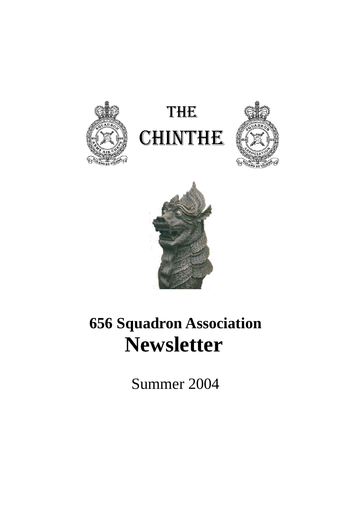







# **656 Squadron Association Newsletter**

Summer 2004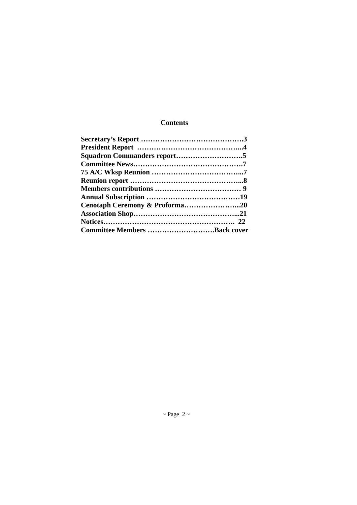# **Contents**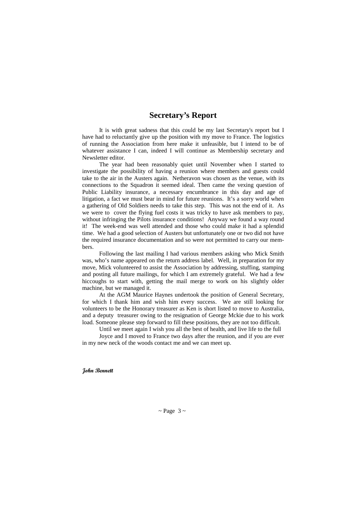# **Secretary's Report**

 It is with great sadness that this could be my last Secretary's report but I have had to reluctantly give up the position with my move to France. The logistics of running the Association from here make it unfeasible, but I intend to be of whatever assistance I can, indeed I will continue as Membership secretary and Newsletter editor.

 The year had been reasonably quiet until November when I started to investigate the possibility of having a reunion where members and guests could take to the air in the Austers again. Netheravon was chosen as the venue, with its connections to the Squadron it seemed ideal. Then came the vexing question of Public Liability insurance, a necessary encumbrance in this day and age of litigation, a fact we must bear in mind for future reunions. It's a sorry world when a gathering of Old Soldiers needs to take this step. This was not the end of it. As we were to cover the flying fuel costs it was tricky to have ask members to pay, without infringing the Pilots insurance conditions! Anyway we found a way round it! The week-end was well attended and those who could make it had a splendid time. We had a good selection of Austers but unfortunately one or two did not have the required insurance documentation and so were not permitted to carry our members.

 Following the last mailing I had various members asking who Mick Smith was, who's name appeared on the return address label. Well, in preparation for my move, Mick volunteered to assist the Association by addressing, stuffing, stamping and posting all future mailings, for which I am extremely grateful. We had a few hiccoughs to start with, getting the mail merge to work on his slightly older machine, but we managed it.

 At the AGM Maurice Haynes undertook the position of General Secretary, for which I thank him and wish him every success. We are still looking for volunteers to be the Honorary treasurer as Ken is short listed to move to Australia, and a deputy treasurer owing to the resignation of George Mckie due to his work load. Someone please step forward to fill these positions, they are not too difficult.

Until we meet again I wish you all the best of health, and live life to the full

 Joyce and I moved to France two days after the reunion, and if you are ever in my new neck of the woods contact me and we can meet up.

#### **John Bennett**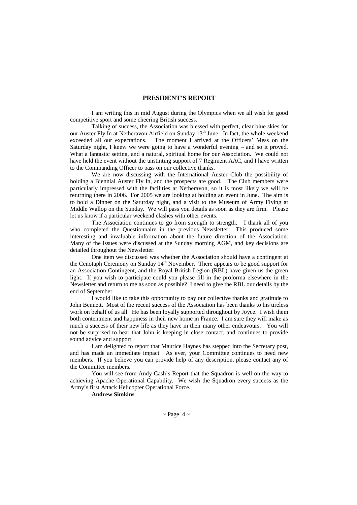#### **PRESIDENT'S REPORT**

I am writing this in mid August during the Olympics when we all wish for good competitive sport and some cheering British success.

Talking of success, the Association was blessed with perfect, clear blue skies for our Auster Fly In at Netheravon Airfield on Sunday  $13<sup>th</sup>$  June. In fact, the whole weekend exceeded all our expectations. The moment I arrived at the Officers' Mess on the Saturday night, I knew we were going to have a wonderful evening – and so it proved. What a fantastic setting, and a natural, spiritual home for our Association. We could not have held the event without the unstinting support of 7 Regiment AAC, and I have written to the Commanding Officer to pass on our collective thanks.

We are now discussing with the International Auster Club the possibility of holding a Biennial Auster Fly In, and the prospects are good. The Club members were particularly impressed with the facilities at Netheravon, so it is most likely we will be returning there in 2006. For 2005 we are looking at holding an event in June. The aim is to hold a Dinner on the Saturday night, and a visit to the Museum of Army Flying at Middle Wallop on the Sunday. We will pass you details as soon as they are firm. Please let us know if a particular weekend clashes with other events.

The Association continues to go from strength to strength. I thank all of you who completed the Questionnaire in the previous Newsletter. This produced some interesting and invaluable information about the future direction of the Association. Many of the issues were discussed at the Sunday morning AGM, and key decisions are detailed throughout the Newsletter.

One item we discussed was whether the Association should have a contingent at the Cenotaph Ceremony on Sunday 14<sup>th</sup> November. There appears to be good support for an Association Contingent, and the Royal British Legion (RBL) have given us the green light. If you wish to participate could you please fill in the proforma elsewhere in the Newsletter and return to me as soon as possible? I need to give the RBL our details by the end of September.

I would like to take this opportunity to pay our collective thanks and gratitude to John Bennett. Most of the recent success of the Association has been thanks to his tireless work on behalf of us all. He has been loyally supported throughout by Joyce. I wish them both contentment and happiness in their new home in France. I am sure they will make as much a success of their new life as they have in their many other endeavours. You will not be surprised to hear that John is keeping in close contact, and continues to provide sound advice and support.

I am delighted to report that Maurice Haynes has stepped into the Secretary post, and has made an immediate impact. As ever, your Committee continues to need new members. If you believe you can provide help of any description, please contact any of the Committee members.

You will see from Andy Cash's Report that the Squadron is well on the way to achieving Apache Operational Capability. We wish the Squadron every success as the Army's first Attack Helicopter Operational Force.

**Andrew Simkins**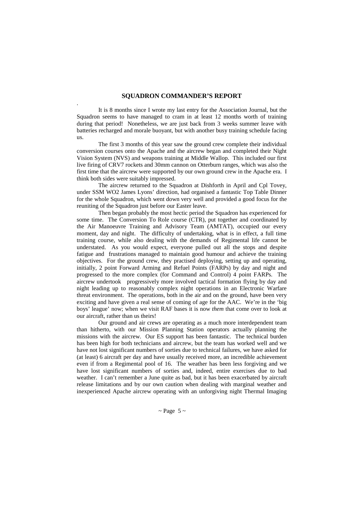#### **SQUADRON COMMANDER'S REPORT**

.

It is 8 months since I wrote my last entry for the Association Journal, but the Squadron seems to have managed to cram in at least 12 months worth of training during that period! Nonetheless, we are just back from 3 weeks summer leave with batteries recharged and morale buoyant, but with another busy training schedule facing us.

The first 3 months of this year saw the ground crew complete their individual conversion courses onto the Apache and the aircrew began and completed their Night Vision System (NVS) and weapons training at Middle Wallop. This included our first live firing of CRV7 rockets and 30mm cannon on Otterburn ranges, which was also the first time that the aircrew were supported by our own ground crew in the Apache era. I think both sides were suitably impressed.

The aircrew returned to the Squadron at Dishforth in April and Cpl Tovey, under SSM WO2 James Lyons' direction, had organised a fantastic Top Table Dinner for the whole Squadron, which went down very well and provided a good focus for the reuniting of the Squadron just before our Easter leave.

Then began probably the most hectic period the Squadron has experienced for some time. The Conversion To Role course (CTR), put together and coordinated by the Air Manoeuvre Training and Advisory Team (AMTAT), occupied our every moment, day and night. The difficulty of undertaking, what is in effect, a full time training course, while also dealing with the demands of Regimental life cannot be understated. As you would expect, everyone pulled out all the stops and despite fatigue and frustrations managed to maintain good humour and achieve the training objectives. For the ground crew, they practised deploying, setting up and operating, initially, 2 point Forward Arming and Refuel Points (FARPs) by day and night and progressed to the more complex (for Command and Control) 4 point FARPs. The aircrew undertook progressively more involved tactical formation flying by day and night leading up to reasonably complex night operations in an Electronic Warfare threat environment. The operations, both in the air and on the ground, have been very exciting and have given a real sense of coming of age for the AAC. We're in the 'big boys' league' now; when we visit RAF bases it is now *them* that come over to look at our aircraft, rather than us theirs!

Our ground and air crews are operating as a much more interdependent team than hitherto, with our Mission Planning Station operators actually planning the missions with the aircrew. Our ES support has been fantastic. The technical burden has been high for both technicians and aircrew, but the team has worked well and we have not lost significant numbers of sorties due to technical failures, we have asked for (at least) 6 aircraft per day and have usually received more, an incredible achievement even if from a Regimental pool of 16. The weather has been less forgiving and we have lost significant numbers of sorties and, indeed, entire exercises due to bad weather. I can't remember a June quite as bad, but it has been exacerbated by aircraft release limitations and by our own caution when dealing with marginal weather and inexperienced Apache aircrew operating with an unforgiving night Thermal Imaging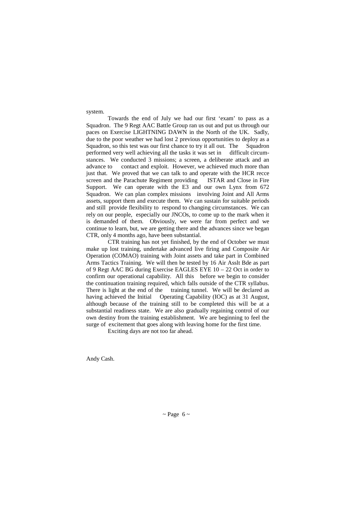#### system.

Towards the end of July we had our first 'exam' to pass as a Squadron. The 9 Regt AAC Battle Group ran us out and put us through our paces on Exercise LIGHTNING DAWN in the North of the UK. Sadly, due to the poor weather we had lost 2 previous opportunities to deploy as a Squadron, so this test was our first chance to try it all out. The Squadron performed very well achieving all the tasks it was set in difficult circumstances. We conducted 3 missions; a screen, a deliberate attack and an advance to contact and exploit. However, we achieved much more than just that. We proved that we can talk to and operate with the HCR recce screen and the Parachute Regiment providing ISTAR and Close in Fire Support. We can operate with the E3 and our own Lynx from 672 Squadron. We can plan complex missions involving Joint and All Arms assets, support them and execute them. We can sustain for suitable periods and still provide flexibility to respond to changing circumstances. We can rely on our people, especially our JNCOs, to come up to the mark when it is demanded of them. Obviously, we were far from perfect and we continue to learn, but, we are getting there and the advances since we began CTR, only 4 months ago, have been substantial.

CTR training has not yet finished, by the end of October we must make up lost training, undertake advanced live firing and Composite Air Operation (COMAO) training with Joint assets and take part in Combined Arms Tactics Training. We will then be tested by 16 Air Asslt Bde as part of 9 Regt AAC BG during Exercise EAGLES EYE 10 – 22 Oct in order to confirm our operational capability. All this before we begin to consider the continuation training required, which falls outside of the CTR syllabus. There is light at the end of the training tunnel. We will be declared as having achieved the Initial Operating Capability (IOC) as at 31 August, although because of the training still to be completed this will be at a substantial readiness state. We are also gradually regaining control of our own destiny from the training establishment. We are beginning to feel the surge of excitement that goes along with leaving home for the first time.

Exciting days are not too far ahead.

Andy Cash.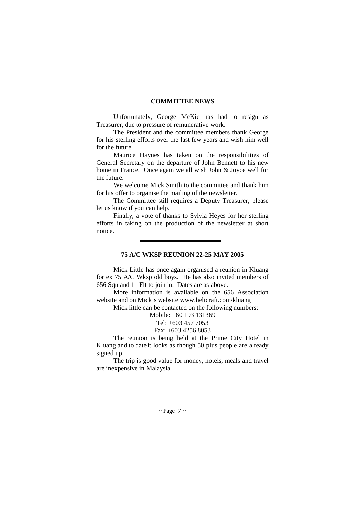#### **COMMITTEE NEWS**

Unfortunately, George McKie has had to resign as Treasurer, due to pressure of remunerative work.

 The President and the committee members thank George for his sterling efforts over the last few years and wish him well for the future.

 Maurice Haynes has taken on the responsibilities of General Secretary on the departure of John Bennett to his new home in France. Once again we all wish John & Joyce well for the future.

 We welcome Mick Smith to the committee and thank him for his offer to organise the mailing of the newsletter.

 The Committee still requires a Deputy Treasurer, please let us know if you can help.

 Finally, a vote of thanks to Sylvia Heyes for her sterling efforts in taking on the production of the newsletter at short notice.

#### **75 A/C WKSP REUNION 22-25 MAY 2005**

 Mick Little has once again organised a reunion in Kluang for ex 75 A/C Wksp old boys. He has also invited members of 656 Sqn and 11 Flt to join in. Dates are as above.

 More information is available on the 656 Association website and on Mick's website www.helicraft.com/kluang

Mick little can be contacted on the following numbers:

Mobile: +60 193 131369

Tel: +603 457 7053

Fax: +603 4256 8053

The reunion is being held at the Prime City Hotel in Kluang and to date it looks as though 50 plus people are already signed up.

 The trip is good value for money, hotels, meals and travel are inexpensive in Malaysia.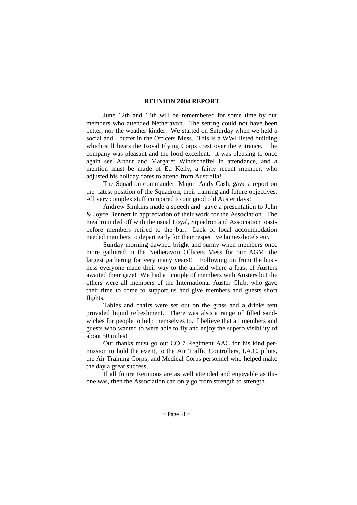#### **REUNION 2004 REPORT**

June 12th and 13th will be remembered for some time by our members who attended Netheravon. The setting could not have been better, nor the weather kinder. We started on Saturday when we held a social and buffet in the Officers Mess. This is a WWI listed building which still bears the Royal Flying Corps crest over the entrance. The company was pleasant and the food excellent. It was pleasing to once again see Arthur and Margaret Windscheffel in attendance, and a mention must be made of Ed Kelly, a fairly recent member, who adjusted his holiday dates to attend from Australia!

 The Squadron commander, Major Andy Cash, gave a report on the latest position of the Squadron, their training and future objectives. All very complex stuff compared to our good old Auster days!

 Andrew Simkins made a speech and gave a presentation to John & Joyce Bennett in appreciation of their work for the Association. The meal rounded off with the usual Loyal, Squadron and Association toasts before members retired to the bar. Lack of local accommodation needed members to depart early for their respective homes/hotels etc.

 Sunday morning dawned bright and sunny when members once more gathered in the Netheravon Officers Mess for our AGM, the largest gathering for very many years!!! Following on from the business everyone made their way to the airfield where a feast of Austers awaited their gaze! We had a couple of members with Austers but the others were all members of the International Auster Club, who gave their time to come to support us and give members and guests short flights.

 Tables and chairs were set out on the grass and a drinks tent provided liquid refreshment. There was also a range of filled sandwiches for people to help themselves to. I believe that all members and guests who wanted to were able to fly and enjoy the superb visibility of about 50 miles!

 Our thanks must go out CO 7 Regiment AAC for his kind permission to hold the event, to the Air Traffic Controllers, I.A.C. pilots, the Air Training Corps, and Medical Corps personnel who helped make the day a great success.

 If all future Reunions are as well attended and enjoyable as this one was, then the Association can only go from strength to strength..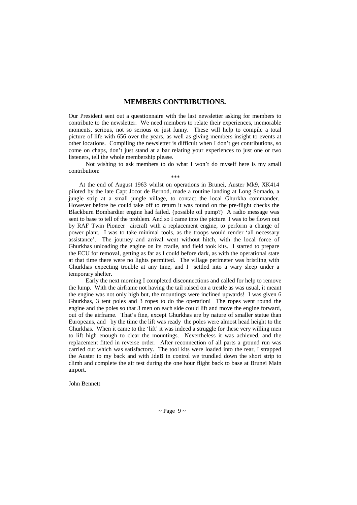### **MEMBERS CONTRIBUTIONS.**

Our President sent out a questionnaire with the last newsletter asking for members to contribute to the newsletter. We need members to relate their experiences, memorable moments, serious, not so serious or just funny. These will help to compile a total picture of life with 656 over the years, as well as giving members insight to events at other locations. Compiling the newsletter is difficult when I don't get contributions, so come on chaps, don't just stand at a bar relating your experiences to just one or two listeners, tell the whole membership please.

 Not wishing to ask members to do what I won't do myself here is my small contribution:

\*\*\*

 At the end of August 1963 whilst on operations in Brunei, Auster Mk9, XK414 piloted by the late Capt Jocot de Bernod, made a routine landing at Long Somado, a jungle strip at a small jungle village, to contact the local Ghurkha commander. However before he could take off to return it was found on the pre-flight checks the Blackburn Bombardier engine had failed. (possible oil pump?) A radio message was sent to base to tell of the problem. And so I came into the picture. I was to be flown out by RAF Twin Pioneer aircraft with a replacement engine, to perform a change of power plant. I was to take minimal tools, as the troops would render 'all necessary assistance'. The journey and arrival went without hitch, with the local force of Ghurkhas unloading the engine on its cradle, and field took kits. I started to prepare the ECU for removal, getting as far as I could before dark, as with the operational state at that time there were no lights permitted. The village perimeter was bristling with Ghurkhas expecting trouble at any time, and I settled into a wary sleep under a temporary shelter.

 Early the next morning I completed disconnections and called for help to remove the lump. With the airframe not having the tail raised on a trestle as was usual, it meant the engine was not only high but, the mountings were inclined upwards! I was given 6 Ghurkhas, 3 tent poles and 3 ropes to do the operation! The ropes went round the engine and the poles so that 3 men on each side could lift and move the engine forward, out of the airframe. That's fine, except Ghurkhas are by nature of smaller statue than Europeans, and by the time the lift was ready the poles were almost head height to the Ghurkhas. When it came to the 'lift' it was indeed a struggle for these very willing men to lift high enough to clear the mountings. Nevertheless it was achieved, and the replacement fitted in reverse order. After reconnection of all parts a ground run was carried out which was satisfactory. The tool kits were loaded into the rear, I strapped the Auster to my back and with JdeB in control we trundled down the short strip to climb and complete the air test during the one hour flight back to base at Brunei Main airport.

John Bennett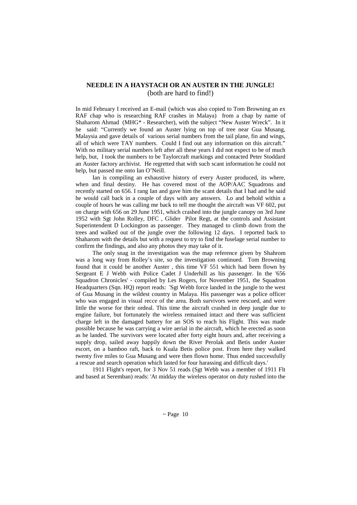#### **NEEDLE IN A HAYSTACH OR AN AUSTER IN THE JUNGLE!**  (both are hard to find!)

In mid February I received an E-mail (which was also copied to Tom Browning an ex RAF chap who is researching RAF crashes in Malaya) from a chap by name of Shaharom Ahmad (MHG\* - Researcher), with the subject "New Auster Wreck". In it he said: "Currently we found an Auster lying on top of tree near Gua Musang, Malaysia and gave details of various serial numbers from the tail plane, fin and wings, all of which were TAY numbers. Could I find out any information on this aircraft." With no military serial numbers left after all these years I did not expect to be of much help, but, I took the numbers to be Taylorcraft markings and contacted Peter Stoddard an Auster factory archivist. He regretted that with such scant information he could not help, but passed me onto Ian O'Neill.

 Ian is compiling an exhaustive history of every Auster produced, its where, when and final destiny. He has covered most of the AOP/AAC Squadrons and recently started on 656. I rang Ian and gave him the scant details that I had and he said he would call back in a couple of days with any answers. Lo and behold within a couple of hours he was calling me back to tell me thought the aircraft was VF 602, put on charge with 656 on 29 June 1951, which crashed into the jungle canopy on 3rd June 1952 with Sgt John Rolley, DFC , Glider Pilot Regt, at the controls and Assistant Superintendent D Lockington as passenger. They managed to climb down from the trees and walked out of the jungle over the following 12 days. I reported back to Shaharom with the details but with a request to try to find the fuselage serial number to confirm the findings, and also any photos they may take of it.

 The only snag in the investigation was the map reference given by Shahrom was a long way from Rolley's site, so the investigation continued. Tom Browning found that it could be another Auster , this time VF 551 which had been flown by Sergeant E J Webb with Police Cadet J Underhill as his passenger. In the '656 Squadron Chronicles' - compiled by Les Rogers, for November 1951, the Squadron Headquarters (Sqn. HQ) report reads: 'Sgt Webb force landed in the jungle to the west of Gua Musang in the wildest country in Malaya. His passenger was a police officer who was engaged in visual recce of the area. Both survivors were rescued, and were little the worse for their ordeal. This time the aircraft crashed in deep jungle due to engine failure, but fortunately the wireless remained intact and there was sufficient charge left in the damaged battery for an SOS to reach his Flight. This was made possible because he was carrying a wire aerial in the aircraft, which he erected as soon as he landed. The survivors were located after forty eight hours and, after receiving a supply drop, sailed away happily down the River Perolak and Betis under Auster escort, on a bamboo raft, back to Kuala Betis police post. From here they walked twenty five miles to Gua Musang and were then flown home. Thus ended successfully a rescue and search operation which lasted for four harassing and difficult days.'

 1911 Flight's report, for 3 Nov 51 reads (Sgt Webb was a member of 1911 Flt and based at Seremban) reads: 'At midday the wireless operator on duty rushed into the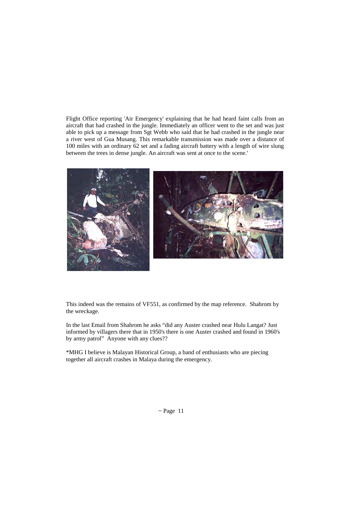Flight Office reporting 'Air Emergency' explaining that he had heard faint calls from an aircraft that had crashed in the jungle. Immediately an officer went to the set and was just able to pick up a message from Sgt Webb who said that he had crashed in the jungle near a river west of Gua Musang. This remarkable transmission was made over a distance of 100 miles with an ordinary 62 set and a fading aircraft battery with a length of wire slung between the trees in dense jungle. An aircraft was sent at once to the scene.'



This indeed was the remains of VF551, as confirmed by the map reference. Shahrom by the wreckage.

In the last Email from Shahrom he asks "did any Auster crashed near Hulu Langat? Just informed by villagers there that in 1950's there is one Auster crashed and found in 1960's by army patrol" Anyone with any clues??

\*MHG I believe is Malayan Historical Group, a band of enthusiasts who are piecing together all aircraft crashes in Malaya during the emergency.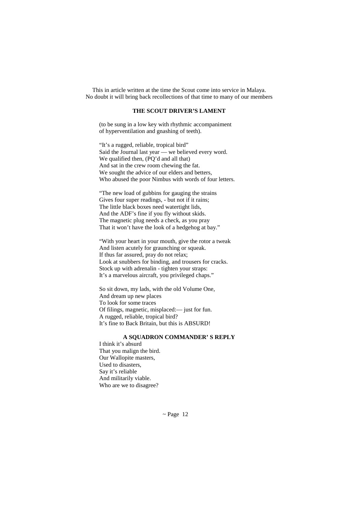This in article written at the time the Scout come into service in Malaya. No doubt it will bring back recollections of that time to many of our members

#### **THE SCOUT DRIVER'S LAMENT**

(to be sung in a low key with rhythmic accompaniment of hyperventilation and gnashing of teeth).

"It's a rugged, reliable, tropical bird" Said the Journal last year — we believed every word. We qualified then, (PQ'd and all that) And sat in the crew room chewing the fat. We sought the advice of our elders and betters, Who abused the poor Nimbus with words of four letters.

"The new load of gubbins for gauging the strains Gives four super readings, - but not if it rains; The little black boxes need watertight lids, And the ADF's fine if you fly without skids. The magnetic plug needs a check, as you pray That it won't have the look of a hedgehog at bay."

"With your heart in your mouth, give the rotor a tweak And listen acutely for graunching or squeak. If thus far assured, pray do not relax; Look at snubbers for binding, and trousers for cracks. Stock up with adrenalin - tighten your straps: It's a marvelous aircraft, you privileged chaps."

So sit down, my lads, with the old Volume One, And dream up new places To look for some traces Of filings, magnetic, misplaced:— just for fun. A rugged, reliable, tropical bird? It's fine to Back Britain, but this is ABSURD!

#### **A SQUADRON COMMANDER' S REPLY**

I think it's absurd That you malign the bird. Our Wallopite masters, Used to disasters, Say it's reliable And militarily viable. Who are we to disagree?

 $\sim$  Page 12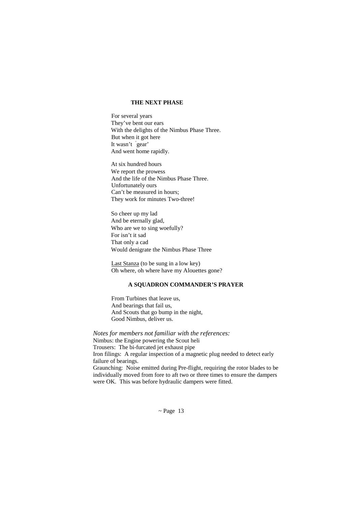#### **THE NEXT PHASE**

For several years They've bent our ears With the delights of the Nimbus Phase Three. But when it got here It wasn't ' gear' And went home rapidly.

At six hundred hours We report the prowess And the life of the Nimbus Phase Three. Unfortunately ours Can't be measured in hours; They work for minutes Two-three!

So cheer up my lad And be eternally glad, Who are we to sing woefully? For isn't it sad That only a cad Would denigrate the Nimbus Phase Three

Last Stanza (to be sung in a low key) Oh where, oh where have my Alouettes gone?

#### **A SQUADRON COMMANDER'S PRAYER**

From Turbines that leave us, And bearings that fail us, And Scouts that go bump in the night, Good Nimbus, deliver us.

*Notes for members not familiar with the references:*  Nimbus: the Engine powering the Scout heli Trousers: The bi-furcated jet exhaust pipe Iron filings: A regular inspection of a magnetic plug needed to detect early failure of bearings. Graunching: Noise emitted during Pre-flight, requiring the rotor blades to be individually moved from fore to aft two or three times to ensure the dampers were OK. This was before hydraulic dampers were fitted.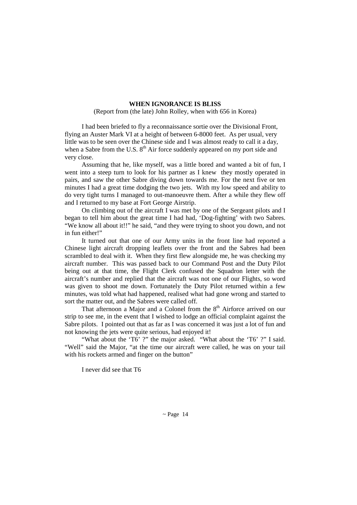#### **WHEN IGNORANCE IS BLISS**

(Report from (the late) John Rolley, when with 656 in Korea)

 I had been briefed to fly a reconnaissance sortie over the Divisional Front, flying an Auster Mark VI at a height of between 6-8000 feet. As per usual, very little was to be seen over the Chinese side and I was almost ready to call it a day, when a Sabre from the U.S.  $8<sup>th</sup>$  Air force suddenly appeared on my port side and very close.

 Assuming that he, like myself, was a little bored and wanted a bit of fun, I went into a steep turn to look for his partner as I knew they mostly operated in pairs, and saw the other Sabre diving down towards me. For the next five or ten minutes I had a great time dodging the two jets. With my low speed and ability to do very tight turns I managed to out-manoeuvre them. After a while they flew off and I returned to my base at Fort George Airstrip.

 On climbing out of the aircraft I was met by one of the Sergeant pilots and I began to tell him about the great time I had had, 'Dog-fighting' with two Sabres. "We know all about it!!" he said, "and they were trying to shoot you down, and not in fun either!"

 It turned out that one of our Army units in the front line had reported a Chinese light aircraft dropping leaflets over the front and the Sabres had been scrambled to deal with it. When they first flew alongside me, he was checking my aircraft number. This was passed back to our Command Post and the Duty Pilot being out at that time, the Flight Clerk confused the Squadron letter with the aircraft's number and replied that the aircraft was not one of our Flights, so word was given to shoot me down. Fortunately the Duty Pilot returned within a few minutes, was told what had happened, realised what had gone wrong and started to sort the matter out, and the Sabres were called off.

That afternoon a Major and a Colonel from the  $8<sup>th</sup>$  Airforce arrived on our strip to see me, in the event that I wished to lodge an official complaint against the Sabre pilots. I pointed out that as far as I was concerned it was just a lot of fun and not knowing the jets were quite serious, had enjoyed it!

"What about the 'T6' ?" the major asked. "What about the 'T6' ?" I said. "Well" said the Major, "at the time our aircraft were called, he was on your tail with his rockets armed and finger on the button"

I never did see that T6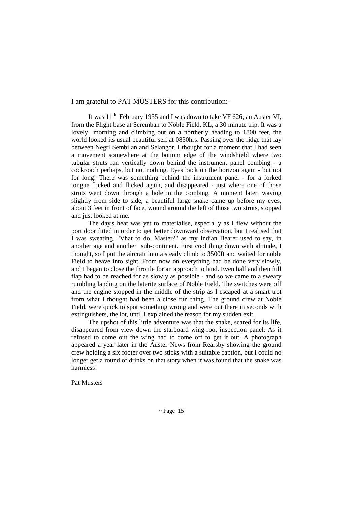I am grateful to PAT MUSTERS for this contribution:-

It was  $11<sup>th</sup>$  February 1955 and I was down to take VF 626, an Auster VI, from the Flight base at Seremban to Noble Field, KL, a 30 minute trip. It was a lovely morning and climbing out on a northerly heading to 1800 feet, the world looked its usual beautiful self at 0830hrs. Passing over the ridge that lay between Negri Sembilan and Selangor, I thought for a moment that I had seen a movement somewhere at the bottom edge of the windshield where two tubular struts ran vertically down behind the instrument panel combing - a cockroach perhaps, but no, nothing. Eyes back on the horizon again - but not for long! There was something behind the instrument panel - for a forked tongue flicked and flicked again, and disappeared - just where one of those struts went down through a hole in the combing. A moment later, waving slightly from side to side, a beautiful large snake came up before my eyes, about 3 feet in front of face, wound around the left of those two struts, stopped and just looked at me.

 The day's heat was yet to materialise, especially as I flew without the port door fitted in order to get better downward observation, but I realised that I was sweating. "Vhat to do, Master?" as my Indian Bearer used to say, in another age and another sub-continent. First cool thing down with altitude, I thought, so I put the aircraft into a steady climb to 3500ft and waited for noble Field to heave into sight. From now on everything had be done very slowly, and I began to close the throttle for an approach to land. Even half and then full flap had to be reached for as slowly as possible - and so we came to a sweaty rumbling landing on the laterite surface of Noble Field. The switches were off and the engine stopped in the middle of the strip as I escaped at a smart trot from what I thought had been a close run thing. The ground crew at Noble Field, were quick to spot something wrong and were out there in seconds with extinguishers, the lot, until I explained the reason for my sudden exit.

 The upshot of this little adventure was that the snake, scared for its life, disappeared from view down the starboard wing-root inspection panel. As it refused to come out the wing had to come off to get it out. A photograph appeared a year later in the Auster News from Rearsby showing the ground crew holding a six footer over two sticks with a suitable caption, but I could no longer get a round of drinks on that story when it was found that the snake was harmless!

Pat Musters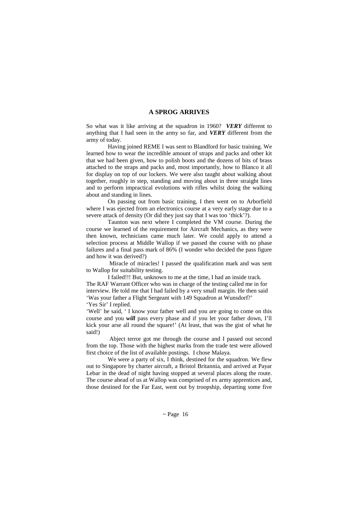#### **A SPROG ARRIVES**

So what was it like arriving at the squadron in 1960? *VERY* different to anything that I had seen in the army so far, and *VERY* different from the army of today.

Having joined REME I was sent to Blandford for basic training. We learned how to wear the incredible amount of straps and packs and other kit that we had been given, how to polish boots and the dozens of bits of brass attached to the straps and packs and, most importantly, how to Blanco it all for display on top of our lockers. We were also taught about walking about together, roughly in step, standing and moving about in three straight lines and to perform impractical evolutions with rifles whilst doing the walking about and standing in lines.

On passing out from basic training, I then went on to Arborfield where I was ejected from an electronics course at a very early stage due to a severe attack of density (Or did they just say that I was too 'thick'?).

Taunton was next where I completed the VM course. During the course we learned of the requirement for Aircraft Mechanics, as they were then known, technicians came much later. We could apply to attend a selection process at Middle Wallop if we passed the course with no phase failures and a final pass mark of 86% (I wonder who decided the pass figure and how it was derived?)

 Miracle of miracles! I passed the qualification mark and was sent to Wallop for suitability testing.

I failed!!! But, unknown to me at the time, I had an inside track. The RAF Warrant Officer who was in charge of the testing called me in for interview. He told me that I had failed by a very small margin. He then said 'Was your father a Flight Sergeant with 149 Squadron at Wunsdorf?' 'Yes Sir' I replied.

'Well' he said, ' I know your father well and you are going to come on this course and you *will* pass every phase and if you let your father down, I'll kick your arse all round the square!' (At least, that was the gist of what he said!)

 Abject terror got me through the course and I passed out second from the top. Those with the highest marks from the trade test were allowed first choice of the list of available postings. I chose Malaya.

We were a party of six,  $\tilde{I}$  think, destined for the squadron. We flew out to Singapore by charter aircraft, a Bristol Britannia, and arrived at Payar Lebar in the dead of night having stopped at several places along the route. The course ahead of us at Wallop was comprised of ex army apprentices and, those destined for the Far East, went out by troopship, departing some five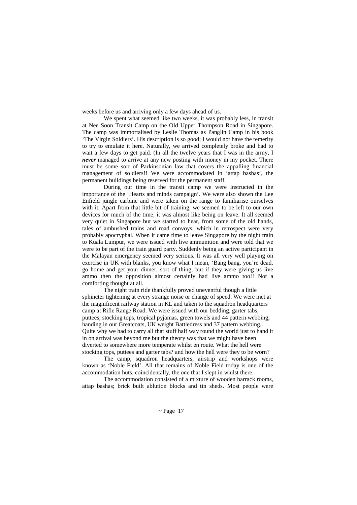weeks before us and arriving only a few days ahead of us.

We spent what seemed like two weeks, it was probably less, in transit at Nee Soon Transit Camp on the Old Upper Thompson Road in Singapore. The camp was immortalised by Leslie Thomas as Panglin Camp in his book 'The Virgin Soldiers'. His description is so good; I would not have the temerity to try to emulate it here. Naturally, we arrived completely broke and had to wait a few days to get paid. (In all the twelve years that I was in the army, I *never* managed to arrive at any new posting with money in my pocket. There must be some sort of Parkinsonian law that covers the appalling financial management of soldiers!! We were accommodated in 'attap bashas', the permanent buildings being reserved for the permanent staff.

During our time in the transit camp we were instructed in the importance of the 'Hearts and minds campaign'. We were also shown the Lee Enfield jungle carbine and were taken on the range to familiarise ourselves with it. Apart from that little bit of training, we seemed to be left to our own devices for much of the time, it was almost like being on leave. It all seemed very quiet in Singapore but we started to hear, from some of the old hands, tales of ambushed trains and road convoys, which in retrospect were very probably apocryphal. When it came time to leave Singapore by the night train to Kuala Lumpur, we were issued with live ammunition and were told that we were to be part of the train guard party. Suddenly being an active participant in the Malayan emergency seemed very serious. It was all very well playing on exercise in UK with blanks, you know what I mean, 'Bang bang, you're dead, go home and get your dinner, sort of thing, but if they were giving us live ammo then the opposition almost certainly had live ammo too!! Not a comforting thought at all.

The night train ride thankfully proved uneventful though a little sphincter tightening at every strange noise or change of speed. We were met at the magnificent railway station in KL and taken to the squadron headquarters camp at Rifle Range Road. We were issued with our bedding, garter tabs, puttees, stocking tops, tropical pyjamas, green towels and 44 pattern webbing, handing in our Greatcoats, UK weight Battledress and 37 pattern webbing. Quite why we had to carry all that stuff half way round the world just to hand it in on arrival was beyond me but the theory was that we might have been diverted to somewhere more temperate whilst en route. What the hell were stocking tops, puttees and garter tabs? and how the hell were they to be worn?

The camp, squadron headquarters, airstrip and workshops were known as 'Noble Field'. All that remains of Noble Field today is one of the accommodation huts, coincidentally, the one that I slept in whilst there.

The accommodation consisted of a mixture of wooden barrack rooms, attap bashas; brick built ablution blocks and tin sheds. Most people were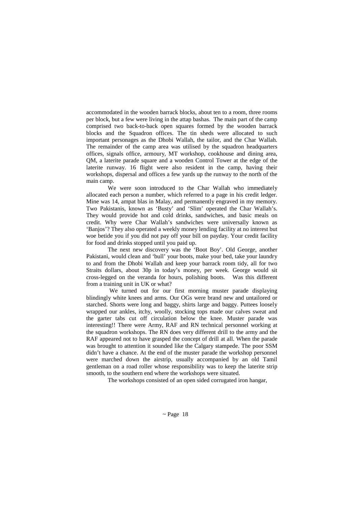accommodated in the wooden barrack blocks, about ten to a room, three rooms per block, but a few were living in the attap bashas. The main part of the camp comprised two back-to-back open squares formed by the wooden barrack blocks and the Squadron offices. The tin sheds were allocated to such important personages as the Dhobi Wallah, the tailor, and the Char Wallah. The remainder of the camp area was utilised by the squadron headquarters offices, signals office, armoury, MT workshop, cookhouse and dining area, QM, a laterite parade square and a wooden Control Tower at the edge of the laterite runway. 16 flight were also resident in the camp, having their workshops, dispersal and offices a few yards up the runway to the north of the main camp.

We were soon introduced to the Char Wallah who immediately allocated each person a number, which referred to a page in his credit ledger. Mine was 14, ampat blas in Malay, and permanently engraved in my memory. Two Pakistanis, known as 'Busty' and 'Slim' operated the Char Wallah's. They would provide hot and cold drinks, sandwiches, and basic meals on credit. Why were Char Wallah's sandwiches were universally known as 'Banjos'? They also operated a weekly money lending facility at no interest but woe betide you if you did not pay off your bill on payday. Your credit facility for food and drinks stopped until you paid up.

The next new discovery was the 'Boot Boy'. Old George, another Pakistani, would clean and 'bull' your boots, make your bed, take your laundry to and from the Dhobi Wallah and keep your barrack room tidy, all for two Straits dollars, about 30p in today's money, per week. George would sit cross-legged on the veranda for hours, polishing boots. Was this different from a training unit in UK or what?

We turned out for our first morning muster parade displaying blindingly white knees and arms. Our OGs were brand new and untailored or starched. Shorts were long and baggy, shirts large and baggy. Puttees loosely wrapped our ankles, itchy, woolly, stocking tops made our calves sweat and the garter tabs cut off circulation below the knee. Muster parade was interesting!! There were Army, RAF and RN technical personnel working at the squadron workshops. The RN does very different drill to the army and the RAF appeared not to have grasped the concept of drill at all. When the parade was brought to attention it sounded like the Calgary stampede. The poor SSM didn't have a chance. At the end of the muster parade the workshop personnel were marched down the airstrip, usually accompanied by an old Tamil gentleman on a road roller whose responsibility was to keep the laterite strip smooth, to the southern end where the workshops were situated.

The workshops consisted of an open sided corrugated iron hangar,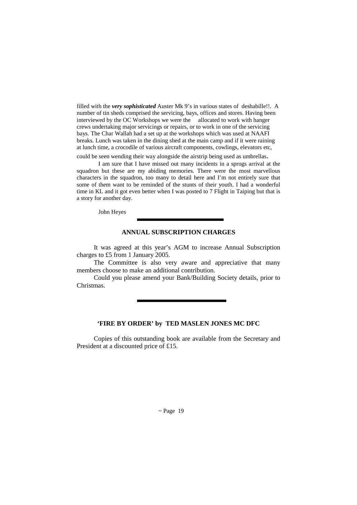filled with the *very sophisticated* Auster Mk 9's in various states of deshabille!!. A number of tin sheds comprised the servicing, bays, offices and stores. Having been interviewed by the OC Workshops we were the allocated to work with hanger crews undertaking major servicings or repairs, or to work in one of the servicing bays. The Char Wallah had a set up at the workshops which was used at NAAFI breaks. Lunch was taken in the dining shed at the main camp and if it were raining at lunch time, a crocodile of various aircraft components, cowlings, elevators etc,

could be seen wending their way alongside the airstrip being used as umbrellas. I am sure that I have missed out many incidents in a sprogs arrival at the

squadron but these are my abiding memories. There were the most marvellous characters in the squadron, too many to detail here and I'm not entirely sure that some of them want to be reminded of the stunts of their youth. I had a wonderful time in KL and it got even better when I was posted to 7 Flight in Taiping but that is a story for another day.

John Heyes

#### **ANNUAL SUBSCRIPTION CHARGES**

It was agreed at this year's AGM to increase Annual Subscription charges to £5 from 1 January 2005.

 The Committee is also very aware and appreciative that many members choose to make an additional contribution.

 Could you please amend your Bank/Building Society details, prior to Christmas.

#### **'FIRE BY ORDER' by TED MASLEN JONES MC DFC**

Copies of this outstanding book are available from the Secretary and President at a discounted price of £15.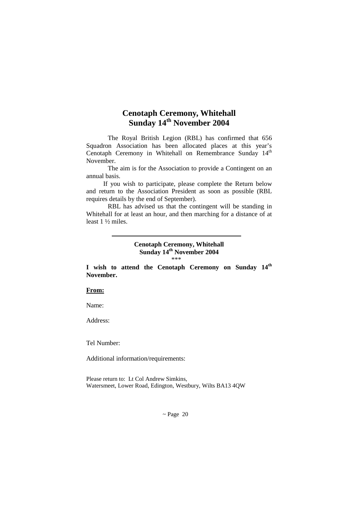# **Cenotaph Ceremony, Whitehall Sunday 14th November 2004**

The Royal British Legion (RBL) has confirmed that 656 Squadron Association has been allocated places at this year's Cenotaph Ceremony in Whitehall on Remembrance Sunday 14<sup>th</sup> November.

The aim is for the Association to provide a Contingent on an annual basis.

 If you wish to participate, please complete the Return below and return to the Association President as soon as possible (RBL requires details by the end of September).

RBL has advised us that the contingent will be standing in Whitehall for at least an hour, and then marching for a distance of at least 1 ½ miles.

#### **Cenotaph Ceremony, Whitehall Sunday 14th November 2004**   $***$

**I wish to attend the Cenotaph Ceremony on Sunday 14th November.** 

#### **From:**

Name:

Address:

Tel Number:

Additional information/requirements:

Please return to: Lt Col Andrew Simkins, Watersmeet, Lower Road, Edington, Westbury, Wilts BA13 4QW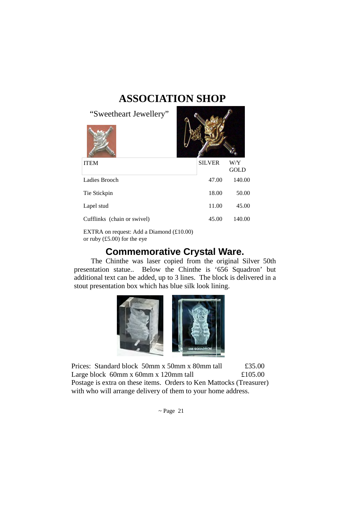# **ASSOCIATION SHOP**

 $\bullet$ 

"Sweetheart Jewellery"

| <b>ITEM</b>                 | <b>SILVER</b> | W/Y<br>GOLD |
|-----------------------------|---------------|-------------|
| Ladies Brooch               | 47.00         | 140.00      |
| Tie Stickpin                | 18.00         | 50.00       |
| Lapel stud                  | 11.00         | 45.00       |
| Cufflinks (chain or swivel) | 45.00         | 140.00      |
|                             |               |             |

EXTRA on request: Add a Diamond (£10.00) or ruby (£5.00) for the eye

# **Commemorative Crystal Ware.**

 The Chinthe was laser copied from the original Silver 50th presentation statue.. Below the Chinthe is '656 Squadron' but additional text can be added, up to 3 lines. The block is delivered in a stout presentation box which has blue silk look lining.



Prices: Standard block 50mm x 50mm x 80mm tall £35.00 Large block 60mm x 60mm x 120mm tall  $£105.00$ Postage is extra on these items. Orders to Ken Mattocks (Treasurer) with who will arrange delivery of them to your home address.

 $\sim$  Page 21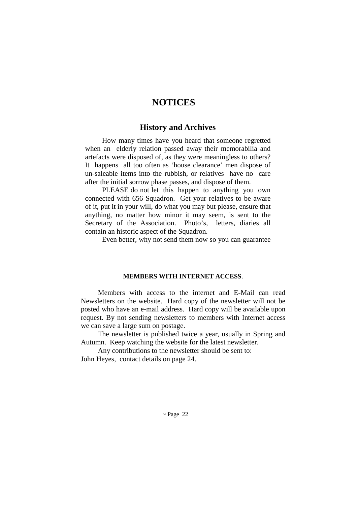# **NOTICES**

### **History and Archives**

 How many times have you heard that someone regretted when an elderly relation passed away their memorabilia and artefacts were disposed of, as they were meaningless to others? It happens all too often as 'house clearance' men dispose of un-saleable items into the rubbish, or relatives have no care after the initial sorrow phase passes, and dispose of them.

 PLEASE do not let this happen to anything you own connected with 656 Squadron. Get your relatives to be aware of it, put it in your will, do what you may but please, ensure that anything, no matter how minor it may seem, is sent to the Secretary of the Association. Photo's, letters, diaries all contain an historic aspect of the Squadron.

Even better, why not send them now so you can guarantee

#### **MEMBERS WITH INTERNET ACCESS**.

 Members with access to the internet and E-Mail can read Newsletters on the website. Hard copy of the newsletter will not be posted who have an e-mail address. Hard copy will be available upon request. By not sending newsletters to members with Internet access we can save a large sum on postage.

 The newsletter is published twice a year, usually in Spring and Autumn. Keep watching the website for the latest newsletter.

 Any contributions to the newsletter should be sent to: John Heyes, contact details on page 24.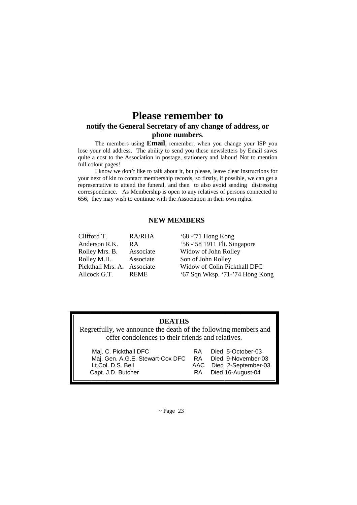# **Please remember to notify the General Secretary of any change of address, or phone numbers**.

 The members using **Email**, remember, when you change your ISP you lose your old address. The ability to send you these newsletters by Email saves quite a cost to the Association in postage, stationery and labour! Not to mention full colour pages!

 I know we don't like to talk about it, but please, leave clear instructions for your next of kin to contact membership records, so firstly, if possible, we can get a representative to attend the funeral, and then to also avoid sending distressing correspondence. As Membership is open to any relatives of persons connected to 656, they may wish to continue with the Association in their own rights.

#### **NEW MEMBERS**

| Clifford T.       | <b>RA/RHA</b> | $68 - 71$ Hong Kong             |
|-------------------|---------------|---------------------------------|
| Anderson R.K.     | R A           | '56 - '58 1911 Flt. Singapore   |
| Rolley Mrs. B.    | Associate     | Widow of John Rolley            |
| Rolley M.H.       | Associate     | Son of John Rolley              |
| Pickthall Mrs. A. | Associate     | Widow of Colin Pickthall DFC    |
| Allcock G.T.      | <b>REME</b>   | '67 Sqn Wksp. '71-'74 Hong Kong |
|                   |               |                                 |

# **DEATHS**

 Regretfully, we announce the death of the following members and offer condolences to their friends and relatives.

| Maj. C. Pickthall DFC                   | RA. | Died 5-October-03                               |
|-----------------------------------------|-----|-------------------------------------------------|
| Maj. Gen. A.G.E. Stewart-Cox DFC        | RA. | Died 9-November-03                              |
| Lt.Col. D.S. Bell<br>Capt. J.D. Butcher |     | AAC Died 2-September-03<br>RA Died 16-August-04 |

 $\sim$  Page 23